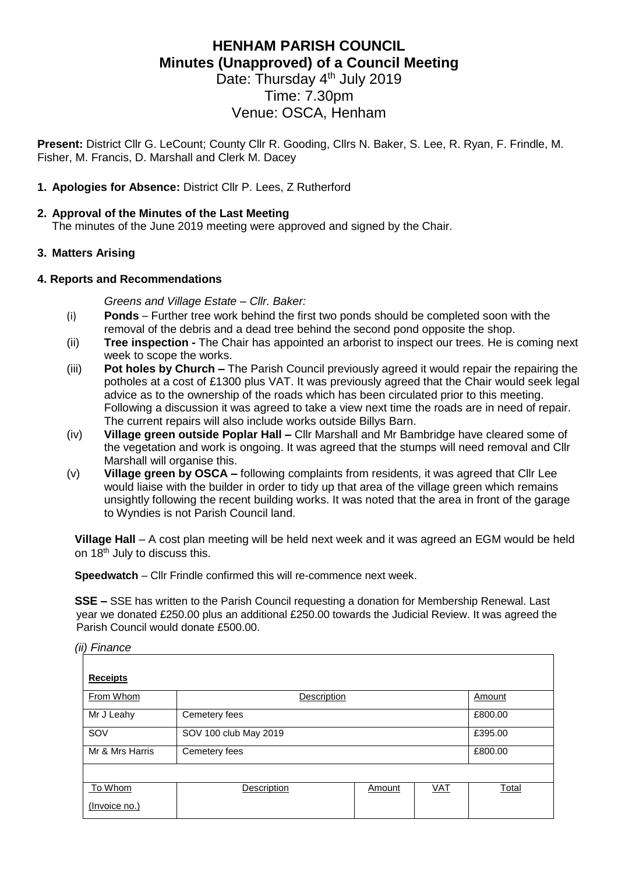# **HENHAM PARISH COUNCIL Minutes (Unapproved) of a Council Meeting**

Date: Thursday 4<sup>th</sup> July 2019 Time: 7.30pm Venue: OSCA, Henham

**Present:** District Cllr G. LeCount; County Cllr R. Gooding, Cllrs N. Baker, S. Lee, R. Ryan, F. Frindle, M. Fisher, M. Francis, D. Marshall and Clerk M. Dacey

### **1. Apologies for Absence:** District Cllr P. Lees, Z Rutherford

#### **2. Approval of the Minutes of the Last Meeting**

The minutes of the June 2019 meeting were approved and signed by the Chair.

### **3. Matters Arising**

#### **4. Reports and Recommendations**

*Greens and Village Estate – Cllr. Baker:*

- (i) **Ponds**  Further tree work behind the first two ponds should be completed soon with the removal of the debris and a dead tree behind the second pond opposite the shop.
- (ii) **Tree inspection -** The Chair has appointed an arborist to inspect our trees. He is coming next week to scope the works.
- (iii) **Pot holes by Church –** The Parish Council previously agreed it would repair the repairing the potholes at a cost of £1300 plus VAT. It was previously agreed that the Chair would seek legal advice as to the ownership of the roads which has been circulated prior to this meeting. Following a discussion it was agreed to take a view next time the roads are in need of repair. The current repairs will also include works outside Billys Barn.
- (iv) **Village green outside Poplar Hall –** Cllr Marshall and Mr Bambridge have cleared some of the vegetation and work is ongoing. It was agreed that the stumps will need removal and Cllr Marshall will organise this.
- (v) **Village green by OSCA –** following complaints from residents, it was agreed that Cllr Lee would liaise with the builder in order to tidy up that area of the village green which remains unsightly following the recent building works. It was noted that the area in front of the garage to Wyndies is not Parish Council land.

**Village Hall** – A cost plan meeting will be held next week and it was agreed an EGM would be held on 18<sup>th</sup> July to discuss this.

**Speedwatch** – Cllr Frindle confirmed this will re-commence next week.

**SSE –** SSE has written to the Parish Council requesting a donation for Membership Renewal. Last year we donated £250.00 plus an additional £250.00 towards the Judicial Review. It was agreed the Parish Council would donate £500.00.

#### *(ii) Finance*

| <b>Receipts</b> |                       |        |            |              |  |  |  |
|-----------------|-----------------------|--------|------------|--------------|--|--|--|
| From Whom       | Description           |        |            | Amount       |  |  |  |
| Mr J Leahy      | Cemetery fees         |        |            | £800.00      |  |  |  |
| SOV             | SOV 100 club May 2019 |        |            | £395.00      |  |  |  |
| Mr & Mrs Harris | Cemetery fees         |        |            | £800.00      |  |  |  |
|                 |                       |        |            |              |  |  |  |
| To Whom         | <b>Description</b>    | Amount | <u>VAT</u> | <b>Total</b> |  |  |  |
| (Invoice no.)   |                       |        |            |              |  |  |  |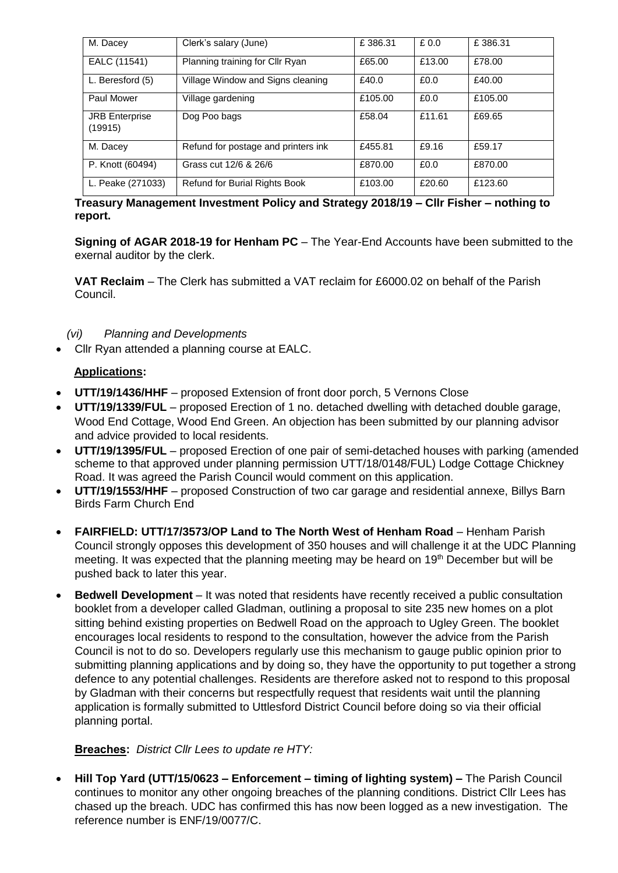| M. Dacey                         | Clerk's salary (June)                | £386.31 | £0.0   | £386.31 |
|----------------------------------|--------------------------------------|---------|--------|---------|
| EALC (11541)                     | Planning training for Cllr Ryan      | £65.00  | £13.00 | £78.00  |
| L. Beresford (5)                 | Village Window and Signs cleaning    | £40.0   | £0.0   | £40.00  |
| Paul Mower                       | Village gardening                    | £105.00 | £0.0   | £105.00 |
| <b>JRB</b> Enterprise<br>(19915) | Dog Poo bags                         | £58.04  | £11.61 | £69.65  |
| M. Dacey                         | Refund for postage and printers ink  | £455.81 | £9.16  | £59.17  |
| P. Knott (60494)                 | Grass cut 12/6 & 26/6                | £870.00 | £0.0   | £870.00 |
| L. Peake (271033)                | <b>Refund for Burial Rights Book</b> | £103.00 | £20.60 | £123.60 |

### **Treasury Management Investment Policy and Strategy 2018/19 – Cllr Fisher – nothing to report.**

**Signing of AGAR 2018-19 for Henham PC** – The Year-End Accounts have been submitted to the exernal auditor by the clerk.

**VAT Reclaim** – The Clerk has submitted a VAT reclaim for £6000.02 on behalf of the Parish Council.

### *(vi) Planning and Developments*

• Cllr Ryan attended a planning course at EALC.

### **Applications:**

- **UTT/19/1436/HHF** proposed Extension of front door porch, 5 Vernons Close
- **UTT/19/1339/FUL** proposed Erection of 1 no. detached dwelling with detached double garage, Wood End Cottage, Wood End Green. An objection has been submitted by our planning advisor and advice provided to local residents.
- **UTT/19/1395/FUL** proposed Erection of one pair of semi-detached houses with parking (amended scheme to that approved under planning permission UTT/18/0148/FUL) Lodge Cottage Chickney Road. It was agreed the Parish Council would comment on this application.
- **UTT/19/1553/HHF** proposed Construction of two car garage and residential annexe, Billys Barn Birds Farm Church End
- **FAIRFIELD: UTT/17/3573/OP Land to The North West of Henham Road** Henham Parish Council strongly opposes this development of 350 houses and will challenge it at the UDC Planning meeting. It was expected that the planning meeting may be heard on 19<sup>th</sup> December but will be pushed back to later this year.
- **Bedwell Development** It was noted that residents have recently received a public consultation booklet from a developer called Gladman, outlining a proposal to site 235 new homes on a plot sitting behind existing properties on Bedwell Road on the approach to Ugley Green. The booklet encourages local residents to respond to the consultation, however the advice from the Parish Council is not to do so. Developers regularly use this mechanism to gauge public opinion prior to submitting planning applications and by doing so, they have the opportunity to put together a strong defence to any potential challenges. Residents are therefore asked not to respond to this proposal by Gladman with their concerns but respectfully request that residents wait until the planning application is formally submitted to Uttlesford District Council before doing so via their official planning portal.

# **Breaches:** *District Cllr Lees to update re HTY:*

• **Hill Top Yard (UTT/15/0623 – Enforcement – timing of lighting system) –** The Parish Council continues to monitor any other ongoing breaches of the planning conditions. District Cllr Lees has chased up the breach. UDC has confirmed this has now been logged as a new investigation. The reference number is ENF/19/0077/C.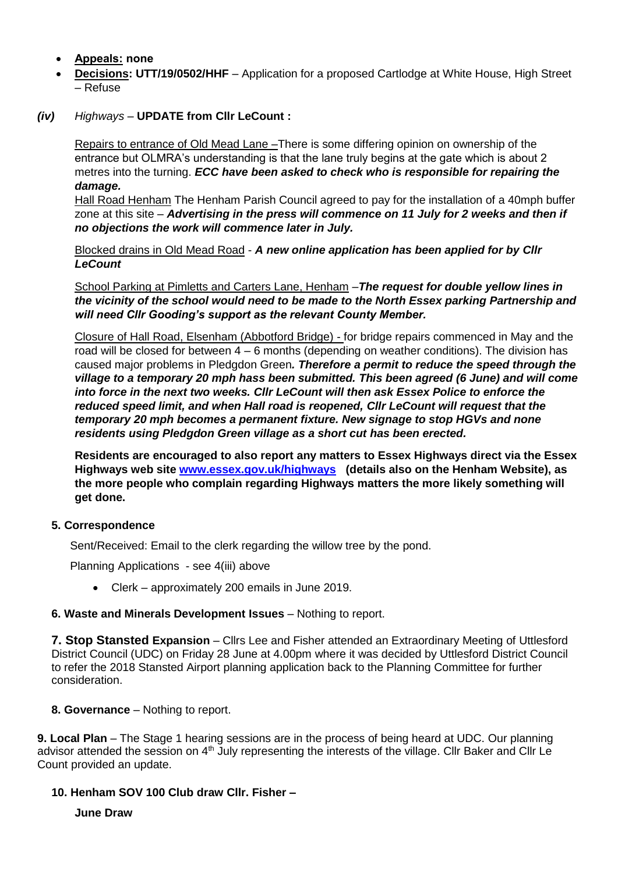- **Appeals: none**
- **Decisions: UTT/19/0502/HHF**  Application for a proposed Cartlodge at White House, High Street – Refuse
- *(iv) Highways –* **UPDATE from Cllr LeCount :**

Repairs to entrance of Old Mead Lane –There is some differing opinion on ownership of the entrance but OLMRA's understanding is that the lane truly begins at the gate which is about 2 metres into the turning. *ECC have been asked to check who is responsible for repairing the damage.*

Hall Road Henham The Henham Parish Council agreed to pay for the installation of a 40mph buffer zone at this site – *Advertising in the press will commence on 11 July for 2 weeks and then if no objections the work will commence later in July.*

Blocked drains in Old Mead Road - *A new online application has been applied for by Cllr LeCount*

School Parking at Pimletts and Carters Lane, Henham –*The request for double yellow lines in the vicinity of the school would need to be made to the North Essex parking Partnership and will need Cllr Gooding's support as the relevant County Member.* 

Closure of Hall Road, Elsenham (Abbotford Bridge) - for bridge repairs commenced in May and the road will be closed for between 4 – 6 months (depending on weather conditions). The division has caused major problems in Pledgdon Green*. Therefore a permit to reduce the speed through the village to a temporary 20 mph hass been submitted. This been agreed (6 June) and will come into force in the next two weeks. Cllr LeCount will then ask Essex Police to enforce the reduced speed limit, and when Hall road is reopened, Cllr LeCount will request that the temporary 20 mph becomes a permanent fixture. New signage to stop HGVs and none residents using Pledgdon Green village as a short cut has been erected.*

**Residents are encouraged to also report any matters to Essex Highways direct via the Essex Highways web site [www.essex.gov.uk/highways](http://www.essex.gov.uk/highways) (details also on the Henham Website), as the more people who complain regarding Highways matters the more likely something will get done.**

# **5. Correspondence**

Sent/Received: Email to the clerk regarding the willow tree by the pond.

Planning Applications - see 4(iii) above

• Clerk – approximately 200 emails in June 2019.

#### **6. Waste and Minerals Development Issues** – Nothing to report.

**7. Stop Stansted Expansion** – Cllrs Lee and Fisher attended an Extraordinary Meeting of Uttlesford District Council (UDC) on Friday 28 June at 4.00pm where it was decided by Uttlesford District Council to refer the 2018 Stansted Airport planning application back to the Planning Committee for further consideration.

#### **8. Governance** – Nothing to report.

**9. Local Plan** – The Stage 1 hearing sessions are in the process of being heard at UDC. Our planning advisor attended the session on 4<sup>th</sup> July representing the interests of the village. Cllr Baker and Cllr Le Count provided an update.

# **10. Henham SOV 100 Club draw Cllr. Fisher –**

**June Draw**